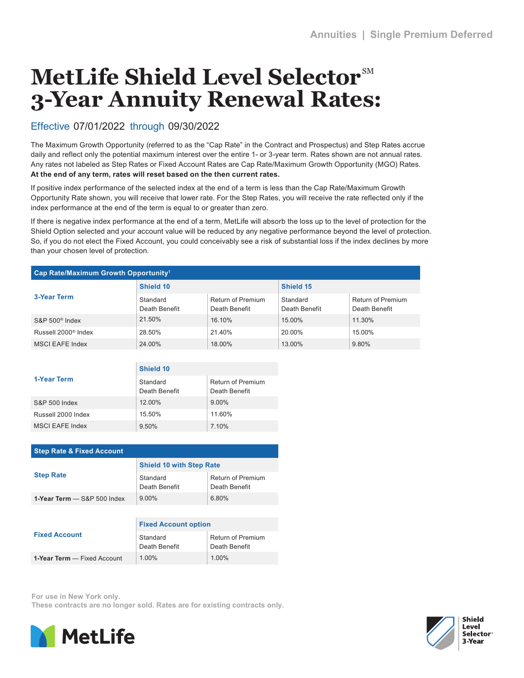## **MetLife Shield Level Selector**SM **3-Year Annuity Renewal Rates:**

## Effective 07/01/2022 through 09/30/2022

The Maximum Growth Opportunity (referred to as the "Cap Rate" in the Contract and Prospectus) and Step Rates accrue daily and reflect only the potential maximum interest over the entire 1- or 3-year term. Rates shown are not annual rates. Any rates not labeled as Step Rates or Fixed Account Rates are Cap Rate/Maximum Growth Opportunity (MGO) Rates. **At the end of any term, rates will reset based on the then current rates.**

If positive index performance of the selected index at the end of a term is less than the Cap Rate/Maximum Growth Opportunity Rate shown, you will receive that lower rate. For the Step Rates, you will receive the rate reflected only if the index performance at the end of the term is equal to or greater than zero.

If there is negative index performance at the end of a term, MetLife will absorb the loss up to the level of protection for the Shield Option selected and your account value will be reduced by any negative performance beyond the level of protection. So, if you do not elect the Fixed Account, you could conceivably see a risk of substantial loss if the index declines by more than your chosen level of protection.

| Cap Rate/Maximum Growth Opportunity <sup>1</sup> |                           |                                    |                           |                                    |  |  |  |
|--------------------------------------------------|---------------------------|------------------------------------|---------------------------|------------------------------------|--|--|--|
| <b>3-Year Term</b>                               | Shield 10                 |                                    | Shield 15                 |                                    |  |  |  |
|                                                  | Standard<br>Death Benefit | Return of Premium<br>Death Benefit | Standard<br>Death Benefit | Return of Premium<br>Death Benefit |  |  |  |
| $S\&P 500^{\circ}$ Index                         | 21.50%                    | 16.10%                             | 15.00%                    | 11.30%                             |  |  |  |
| Russell 2000 <sup>®</sup> Index                  | 28.50%                    | 21.40%                             | 20.00%                    | 15.00%                             |  |  |  |
| MSCI EAFE Index                                  | 24.00%                    | 18.00%                             | 13.00%                    | 9.80%                              |  |  |  |

|                    | Shield 10                 |                                    |  |
|--------------------|---------------------------|------------------------------------|--|
| 1-Year Term        | Standard<br>Death Benefit | Return of Premium<br>Death Benefit |  |
| S&P 500 Index      | 12.00%                    | $9.00\%$                           |  |
| Russell 2000 Index | 15.50%                    | 11.60%                             |  |
| MSCI EAFE Index    | 9.50%                     | 7.10%                              |  |

| <b>Step Rate &amp; Fixed Account</b> |                                 |                                           |  |  |  |  |
|--------------------------------------|---------------------------------|-------------------------------------------|--|--|--|--|
|                                      | <b>Shield 10 with Step Rate</b> |                                           |  |  |  |  |
| <b>Step Rate</b>                     | Standard<br>Death Benefit       | <b>Return of Premium</b><br>Death Benefit |  |  |  |  |
| 1-Year Term $-$ S&P 500 Index        | $9.00\%$                        | 6.80%                                     |  |  |  |  |
|                                      |                                 |                                           |  |  |  |  |
|                                      | <b>Fixed Account option</b>     |                                           |  |  |  |  |
| <b>Fixed Account</b>                 | Standard<br>Death Benefit       | Return of Premium<br>Death Benefit        |  |  |  |  |

For use in New York only.

**1-Year Term** — Fixed Account

These contracts are no longer sold. Rates are for existing contracts only.

1.00% 1.00%